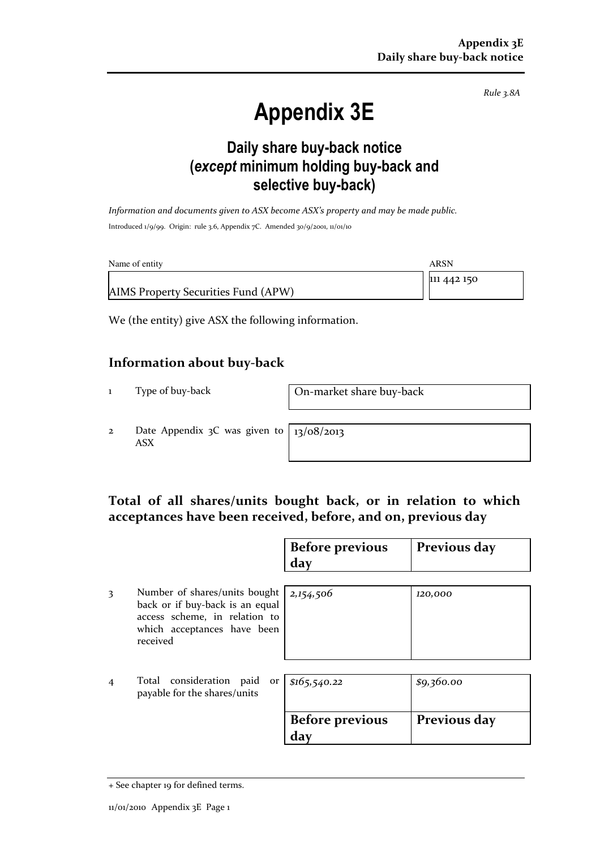Rule 3.8A

# Appendix 3E

### Daily share buy-back notice (except minimum holding buy-back and selective buy-back)

Information and documents given to ASX become ASX's property and may be made public. Introduced 1/9/99. Origin: rule 3.6, Appendix 7C. Amended 30/9/2001, 11/01/10

| Name of entity                      | ARSN        |
|-------------------------------------|-------------|
|                                     | 111 442 150 |
| AIMS Property Securities Fund (APW) |             |

We (the entity) give ASX the following information.

#### Information about buy-back

1 Type of buy-back On-market share buy-back

2 Date Appendix 3C was given to ASX

13/08/2013

#### Total of all shares/units bought back, or in relation to which acceptances have been received, before, and on, previous day

|                |                                                                                                                                              | <b>Before previous</b><br>day | Previous day |
|----------------|----------------------------------------------------------------------------------------------------------------------------------------------|-------------------------------|--------------|
| 3              | Number of shares/units bought<br>back or if buy-back is an equal<br>access scheme, in relation to<br>which acceptances have been<br>received | 2,154,506                     | 120,000      |
| $\overline{4}$ | Total consideration paid<br>or<br>payable for the shares/units                                                                               | \$165,540.22                  | \$9,360.00   |
|                |                                                                                                                                              | <b>Before previous</b><br>day | Previous day |

<sup>+</sup> See chapter 19 for defined terms.